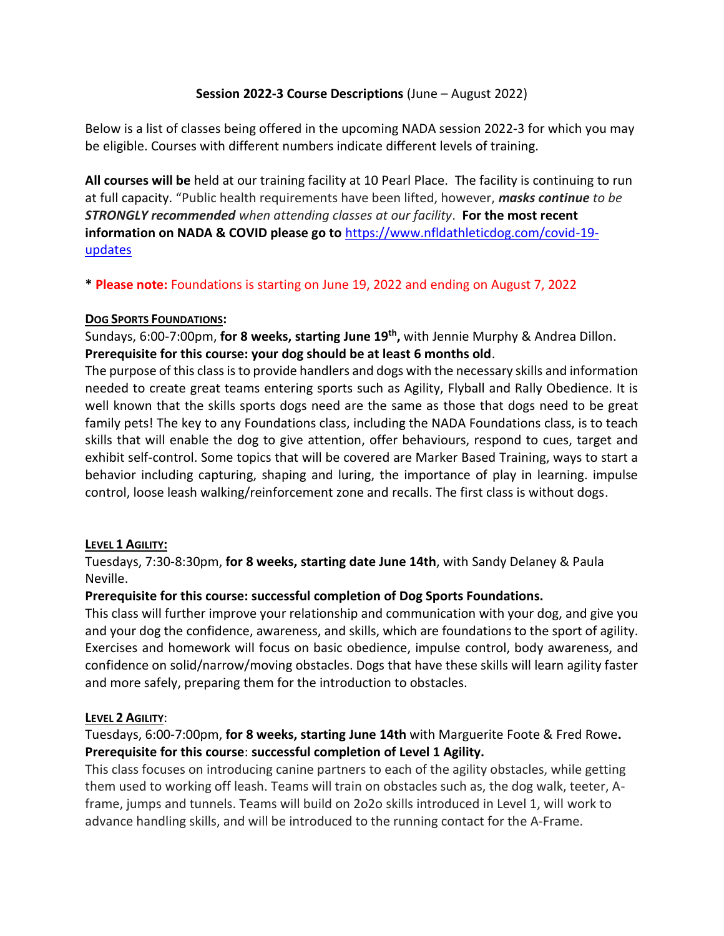## **Session 2022-3 Course Descriptions** (June – August 2022)

Below is a list of classes being offered in the upcoming NADA session 2022-3 for which you may be eligible. Courses with different numbers indicate different levels of training.

**All courses will be** held at our training facility at 10 Pearl Place. The facility is continuing to run at full capacity. "Public health requirements have been lifted, however, *masks continue to be STRONGLY recommended when attending classes at our facility*. **For the most recent information on NADA & COVID please go to** [https://www.nfldathleticdog.com/covid-19](https://www.nfldathleticdog.com/covid-19-updates) [updates](https://www.nfldathleticdog.com/covid-19-updates)

**\* Please note:** Foundations is starting on June 19, 2022 and ending on August 7, 2022

#### **DOG SPORTS FOUNDATIONS:**

Sundays, 6:00-7:00pm, **for 8 weeks, starting June 19th ,** with Jennie Murphy & Andrea Dillon. **Prerequisite for this course: your dog should be at least 6 months old**.

The purpose of this class is to provide handlers and dogs with the necessary skills and information needed to create great teams entering sports such as Agility, Flyball and Rally Obedience. It is well known that the skills sports dogs need are the same as those that dogs need to be great family pets! The key to any Foundations class, including the NADA Foundations class, is to teach skills that will enable the dog to give attention, offer behaviours, respond to cues, target and exhibit self-control. Some topics that will be covered are Marker Based Training, ways to start a behavior including capturing, shaping and luring, the importance of play in learning. impulse control, loose leash walking/reinforcement zone and recalls. The first class is without dogs.

#### **LEVEL 1 AGILITY:**

Tuesdays, 7:30-8:30pm, **for 8 weeks, starting date June 14th**, with Sandy Delaney & Paula Neville.

# **Prerequisite for this course: successful completion of Dog Sports Foundations.**

This class will further improve your relationship and communication with your dog, and give you and your dog the confidence, awareness, and skills, which are foundations to the sport of agility. Exercises and homework will focus on basic obedience, impulse control, body awareness, and confidence on solid/narrow/moving obstacles. Dogs that have these skills will learn agility faster and more safely, preparing them for the introduction to obstacles.

#### **LEVEL 2 AGILITY**:

Tuesdays, 6:00-7:00pm, **for 8 weeks, starting June 14th** with Marguerite Foote & Fred Rowe**. Prerequisite for this course**: **successful completion of Level 1 Agility.**

This class focuses on introducing canine partners to each of the agility obstacles, while getting them used to working off leash. Teams will train on obstacles such as, the dog walk, teeter, Aframe, jumps and tunnels. Teams will build on 2o2o skills introduced in Level 1, will work to advance handling skills, and will be introduced to the running contact for the A-Frame.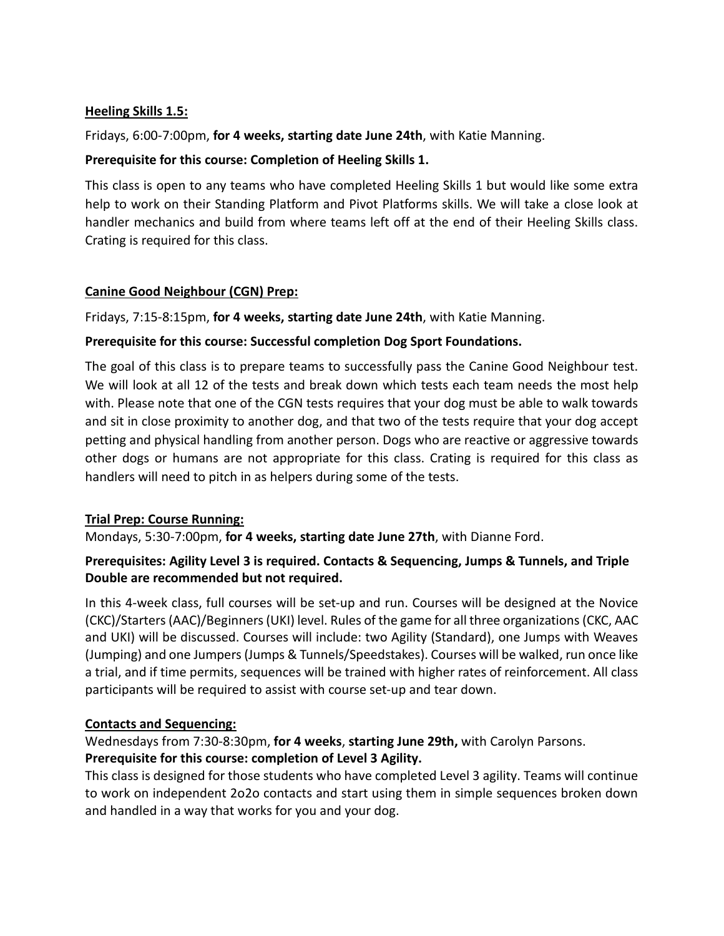#### **Heeling Skills 1.5:**

Fridays, 6:00-7:00pm, **for 4 weeks, starting date June 24th**, with Katie Manning.

## **Prerequisite for this course: Completion of Heeling Skills 1.**

This class is open to any teams who have completed Heeling Skills 1 but would like some extra help to work on their Standing Platform and Pivot Platforms skills. We will take a close look at handler mechanics and build from where teams left off at the end of their Heeling Skills class. Crating is required for this class.

# **Canine Good Neighbour (CGN) Prep:**

Fridays, 7:15-8:15pm, **for 4 weeks, starting date June 24th**, with Katie Manning.

## **Prerequisite for this course: Successful completion Dog Sport Foundations.**

The goal of this class is to prepare teams to successfully pass the Canine Good Neighbour test. We will look at all 12 of the tests and break down which tests each team needs the most help with. Please note that one of the CGN tests requires that your dog must be able to walk towards and sit in close proximity to another dog, and that two of the tests require that your dog accept petting and physical handling from another person. Dogs who are reactive or aggressive towards other dogs or humans are not appropriate for this class. Crating is required for this class as handlers will need to pitch in as helpers during some of the tests.

#### **Trial Prep: Course Running:**

Mondays, 5:30-7:00pm, **for 4 weeks, starting date June 27th**, with Dianne Ford.

# **Prerequisites: Agility Level 3 is required. Contacts & Sequencing, Jumps & Tunnels, and Triple Double are recommended but not required.**

In this 4-week class, full courses will be set-up and run. Courses will be designed at the Novice (CKC)/Starters (AAC)/Beginners (UKI) level. Rules of the game for all three organizations (CKC, AAC and UKI) will be discussed. Courses will include: two Agility (Standard), one Jumps with Weaves (Jumping) and one Jumpers (Jumps & Tunnels/Speedstakes). Courses will be walked, run once like a trial, and if time permits, sequences will be trained with higher rates of reinforcement. All class participants will be required to assist with course set-up and tear down.

# **Contacts and Sequencing:**

Wednesdays from 7:30-8:30pm, **for 4 weeks**, **starting June 29th,** with Carolyn Parsons. **Prerequisite for this course: completion of Level 3 Agility.** 

# This class is designed for those students who have completed Level 3 agility. Teams will continue to work on independent 2o2o contacts and start using them in simple sequences broken down and handled in a way that works for you and your dog.